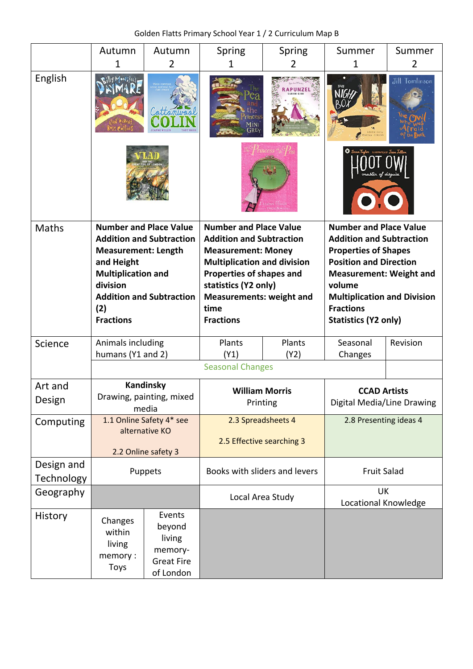Golden Flatts Primary School Year 1 / 2 Curriculum Map B

|                                 | Autumn                                                                                                                                                                                                              | Autumn                                                                  | Spring                                                                                                                                                                                                                                                 | Spring                                  | Summer                                                                                                                                                                                                                                                                | Summer         |
|---------------------------------|---------------------------------------------------------------------------------------------------------------------------------------------------------------------------------------------------------------------|-------------------------------------------------------------------------|--------------------------------------------------------------------------------------------------------------------------------------------------------------------------------------------------------------------------------------------------------|-----------------------------------------|-----------------------------------------------------------------------------------------------------------------------------------------------------------------------------------------------------------------------------------------------------------------------|----------------|
|                                 | 1                                                                                                                                                                                                                   | 2                                                                       | 1                                                                                                                                                                                                                                                      | 2                                       | 1                                                                                                                                                                                                                                                                     | $\overline{2}$ |
| English                         |                                                                                                                                                                                                                     |                                                                         | Mini<br>GRE)                                                                                                                                                                                                                                           |                                         | LOUTH OFFIC                                                                                                                                                                                                                                                           | Jill Tomlinson |
|                                 |                                                                                                                                                                                                                     |                                                                         | <b>vess</b>                                                                                                                                                                                                                                            |                                         |                                                                                                                                                                                                                                                                       |                |
| <b>Maths</b>                    | <b>Number and Place Value</b><br><b>Addition and Subtraction</b><br><b>Measurement: Length</b><br>and Height<br><b>Multiplication and</b><br>division<br><b>Addition and Subtraction</b><br>(2)<br><b>Fractions</b> |                                                                         | <b>Number and Place Value</b><br><b>Addition and Subtraction</b><br><b>Measurement: Money</b><br><b>Multiplication and division</b><br>Properties of shapes and<br>statistics (Y2 only)<br><b>Measurements: weight and</b><br>time<br><b>Fractions</b> |                                         | <b>Number and Place Value</b><br><b>Addition and Subtraction</b><br><b>Properties of Shapes</b><br><b>Position and Direction</b><br><b>Measurement: Weight and</b><br>volume<br><b>Multiplication and Division</b><br><b>Fractions</b><br><b>Statistics (Y2 only)</b> |                |
| Science                         | Animals including                                                                                                                                                                                                   |                                                                         | Plants                                                                                                                                                                                                                                                 | Plants                                  | Seasonal<br>Changes                                                                                                                                                                                                                                                   | Revision       |
|                                 |                                                                                                                                                                                                                     | humans (Y1 and 2)                                                       |                                                                                                                                                                                                                                                        | (Y1)<br>(Y2)<br><b>Seasonal Changes</b> |                                                                                                                                                                                                                                                                       |                |
|                                 |                                                                                                                                                                                                                     |                                                                         |                                                                                                                                                                                                                                                        |                                         |                                                                                                                                                                                                                                                                       |                |
| Art and                         | Kandinsky<br>Drawing, painting, mixed<br>media                                                                                                                                                                      |                                                                         | <b>William Morris</b><br>Printing                                                                                                                                                                                                                      |                                         | <b>CCAD Artists</b>                                                                                                                                                                                                                                                   |                |
| Design                          |                                                                                                                                                                                                                     |                                                                         |                                                                                                                                                                                                                                                        |                                         | Digital Media/Line Drawing                                                                                                                                                                                                                                            |                |
| Computing                       | 1.1 Online Safety 4* see                                                                                                                                                                                            |                                                                         | 2.3 Spreadsheets 4                                                                                                                                                                                                                                     |                                         | 2.8 Presenting ideas 4                                                                                                                                                                                                                                                |                |
|                                 | alternative KO                                                                                                                                                                                                      |                                                                         | 2.5 Effective searching 3                                                                                                                                                                                                                              |                                         |                                                                                                                                                                                                                                                                       |                |
|                                 | 2.2 Online safety 3                                                                                                                                                                                                 |                                                                         |                                                                                                                                                                                                                                                        |                                         |                                                                                                                                                                                                                                                                       |                |
| Design and<br><b>Technology</b> | Puppets                                                                                                                                                                                                             |                                                                         | Books with sliders and levers                                                                                                                                                                                                                          |                                         | <b>Fruit Salad</b>                                                                                                                                                                                                                                                    |                |
| Geography                       |                                                                                                                                                                                                                     |                                                                         | Local Area Study                                                                                                                                                                                                                                       |                                         | UK<br>Locational Knowledge                                                                                                                                                                                                                                            |                |
| History                         | Changes<br>within<br>living<br>memory:<br><b>Toys</b>                                                                                                                                                               | Events<br>beyond<br>living<br>memory-<br><b>Great Fire</b><br>of London |                                                                                                                                                                                                                                                        |                                         |                                                                                                                                                                                                                                                                       |                |